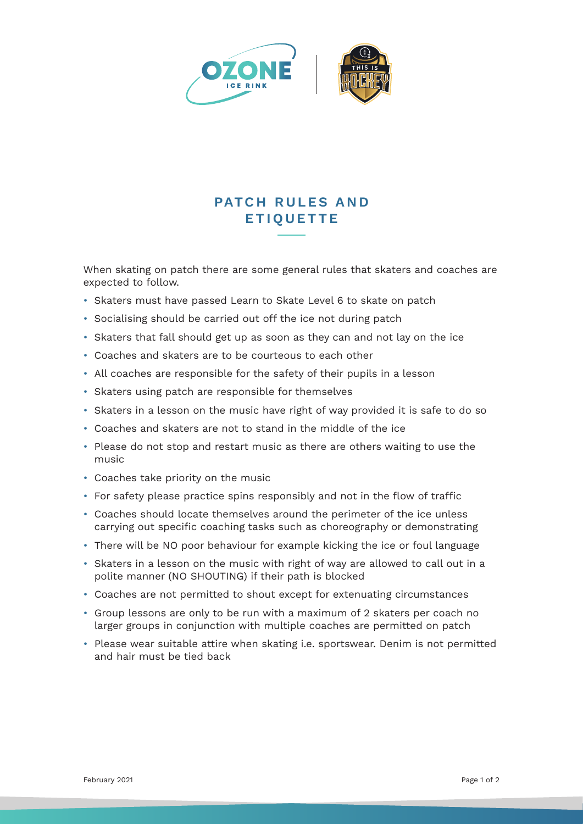

## **PATCH RULES AND ETIQUETTE**

When skating on patch there are some general rules that skaters and coaches are expected to follow.

- Skaters must have passed Learn to Skate Level 6 to skate on patch
- Socialising should be carried out off the ice not during patch
- Skaters that fall should get up as soon as they can and not lay on the ice
- Coaches and skaters are to be courteous to each other
- All coaches are responsible for the safety of their pupils in a lesson
- Skaters using patch are responsible for themselves
- Skaters in a lesson on the music have right of way provided it is safe to do so
- Coaches and skaters are not to stand in the middle of the ice
- Please do not stop and restart music as there are others waiting to use the music
- Coaches take priority on the music
- • For safety please practice spins responsibly and not in the flow of traffic
- Coaches should locate themselves around the perimeter of the ice unless carrying out specific coaching tasks such as choreography or demonstrating
- There will be NO poor behaviour for example kicking the ice or foul language
- Skaters in a lesson on the music with right of way are allowed to call out in a polite manner (NO SHOUTING) if their path is blocked
- Coaches are not permitted to shout except for extenuating circumstances
- Group lessons are only to be run with a maximum of 2 skaters per coach no larger groups in conjunction with multiple coaches are permitted on patch
- Please wear suitable attire when skating i.e. sportswear. Denim is not permitted and hair must be tied back